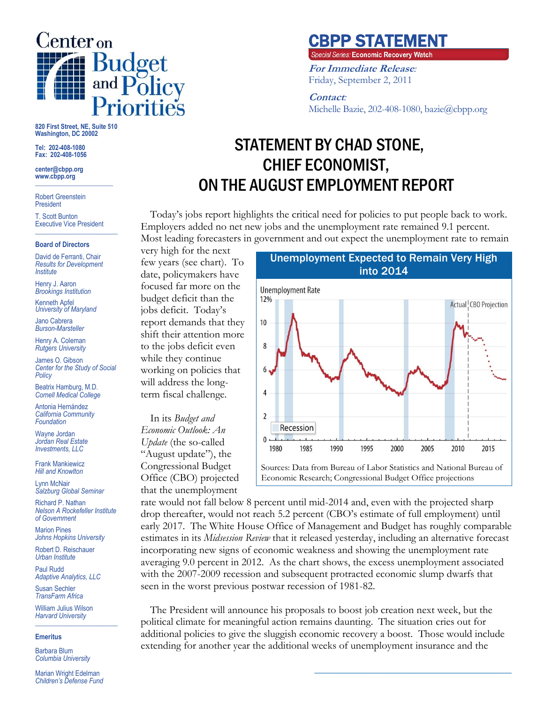

**820 First Street, NE, Suite 510 Washington, DC 20002**

**Tel: 202-408-1080 Fax: 202-408-1056**

**center@cbpp.org www.cbpp.org \_\_\_\_\_\_\_\_\_\_\_\_\_\_\_\_\_\_\_\_\_\_\_\_**

Robert Greenstein President

T. Scott Bunton Executive Vice President **\_\_\_\_\_\_\_\_\_\_\_\_\_\_\_\_\_\_\_\_\_\_\_\_**

#### **Board of Directors**

David de Ferranti, Chair *Results for Development Institute*

Henry J. Aaron *Brookings Institution*

Kenneth Apfel *University of Maryland*

Jano Cabrera *Burson-Marsteller*

Henry A. Coleman *Rutgers University*

James O. Gibson *Center for the Study of Social Policy*

Beatrix Hamburg, M.D. *Cornell Medical College*

Antonia Hernández *California Community Foundation*

Wayne Jordan *Jordan Real Estate Investments, LLC*

Frank Mankiewicz *Hill and Knowlton*

Lynn McNair *Salzburg Global Seminar*

Richard P. Nathan *Nelson A Rockefeller Institute of Government*

Marion Pines *Johns Hopkins University*

Robert D. Reischauer *Urban Institute*

Paul Rudd *Adaptive Analytics, LLC*

Susan Sechler *TransFarm Africa*

William Julius Wilson *Harvard University* **\_\_\_\_\_\_\_\_\_\_\_\_\_\_\_\_\_\_\_\_\_\_\_\_**

#### **Emeritus**

Barbara Blum *Columbia University*

Marian Wright Edelman *Children's Defense Fund*

## CBPP STATEMENT

Special Series: Economic Recovery Watch

**For Immediate Release***:* Friday, September 2, 2011

### **Contact***:*

Michelle Bazie, 202-408-1080, bazie@cbpp.org

# STATEMENT BY CHAD STONE, CHIEF ECONOMIST, ON THE AUGUST EMPLOYMENT REPORT

Today's jobs report highlights the critical need for policies to put people back to work. Employers added no net new jobs and the unemployment rate remained 9.1 percent. Most leading forecasters in government and out expect the unemployment rate to remain

very high for the next few years (see chart). To date, policymakers have focused far more on the budget deficit than the jobs deficit. Today's report demands that they shift their attention more to the jobs deficit even while they continue working on policies that will address the longterm fiscal challenge.

In its *Budget and Economic Outlook: An Update* (the so-called "August update"), the Congressional Budget Office (CBO) projected that the unemployment



**\_\_\_\_\_\_\_\_\_\_\_\_\_\_\_\_\_\_\_\_\_\_\_\_\_\_\_\_\_\_\_\_\_\_\_\_\_**

rate would not fall below 8 percent until mid-2014 and, even with the projected sharp drop thereafter, would not reach 5.2 percent (CBO's estimate of full employment) until early 2017. The White House Office of Management and Budget has roughly comparable estimates in its *Midsession Review* that it released yesterday, including an alternative forecast incorporating new signs of economic weakness and showing the unemployment rate averaging 9.0 percent in 2012. As the chart shows, the excess unemployment associated with the 2007-2009 recession and subsequent protracted economic slump dwarfs that seen in the worst previous postwar recession of 1981-82.

The President will announce his proposals to boost job creation next week, but the political climate for meaningful action remains daunting. The situation cries out for additional policies to give the sluggish economic recovery a boost. Those would include extending for another year the additional weeks of unemployment insurance and the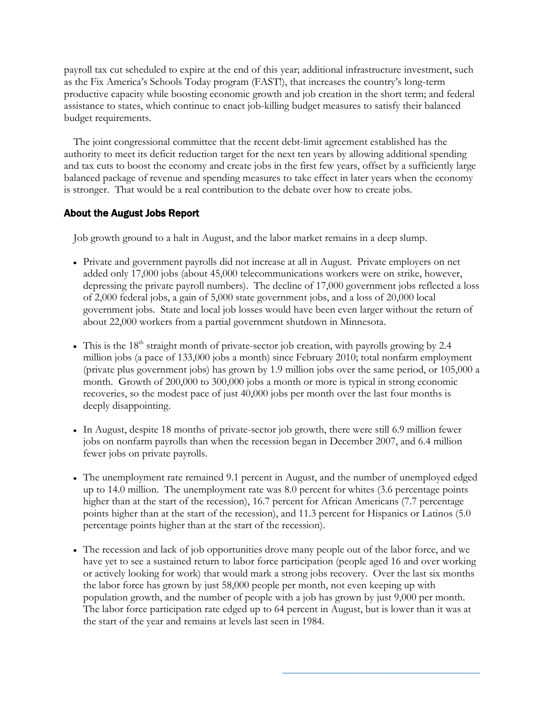payroll tax cut scheduled to expire at the end of this year; additional infrastructure investment, such as the Fix America's Schools Today program (FAST!), that increases the country's long-term productive capacity while boosting economic growth and job creation in the short term; and federal assistance to states, which continue to enact job-killing budget measures to satisfy their balanced budget requirements.

The joint congressional committee that the recent debt-limit agreement established has the authority to meet its deficit reduction target for the next ten years by allowing additional spending and tax cuts to boost the economy and create jobs in the first few years, offset by a sufficiently large balanced package of revenue and spending measures to take effect in later years when the economy is stronger. That would be a real contribution to the debate over how to create jobs.

## About the August Jobs Report

Job growth ground to a halt in August, and the labor market remains in a deep slump.

- Private and government payrolls did not increase at all in August. Private employers on net added only 17,000 jobs (about 45,000 telecommunications workers were on strike, however, depressing the private payroll numbers). The decline of 17,000 government jobs reflected a loss of 2,000 federal jobs, a gain of 5,000 state government jobs, and a loss of 20,000 local government jobs. State and local job losses would have been even larger without the return of about 22,000 workers from a partial government shutdown in Minnesota.
- This is the  $18<sup>th</sup>$  straight month of private-sector job creation, with payrolls growing by 2.4 million jobs (a pace of 133,000 jobs a month) since February 2010; total nonfarm employment (private plus government jobs) has grown by 1.9 million jobs over the same period, or 105,000 a month. Growth of 200,000 to 300,000 jobs a month or more is typical in strong economic recoveries, so the modest pace of just 40,000 jobs per month over the last four months is deeply disappointing.
- In August, despite 18 months of private-sector job growth, there were still 6.9 million fewer jobs on nonfarm payrolls than when the recession began in December 2007, and 6.4 million fewer jobs on private payrolls.
- The unemployment rate remained 9.1 percent in August, and the number of unemployed edged up to 14.0 million. The unemployment rate was 8.0 percent for whites (3.6 percentage points higher than at the start of the recession), 16.7 percent for African Americans (7.7 percentage points higher than at the start of the recession), and 11.3 percent for Hispanics or Latinos (5.0 percentage points higher than at the start of the recession).
- The recession and lack of job opportunities drove many people out of the labor force, and we have yet to see a sustained return to labor force participation (people aged 16 and over working or actively looking for work) that would mark a strong jobs recovery. Over the last six months the labor force has grown by just 58,000 people per month, not even keeping up with population growth, and the number of people with a job has grown by just 9,000 per month. The labor force participation rate edged up to 64 percent in August, but is lower than it was at the start of the year and remains at levels last seen in 1984.

**\_\_\_\_\_\_\_\_\_\_\_\_\_\_\_\_\_\_\_\_\_\_\_\_\_\_\_\_\_\_\_\_\_\_\_\_\_**